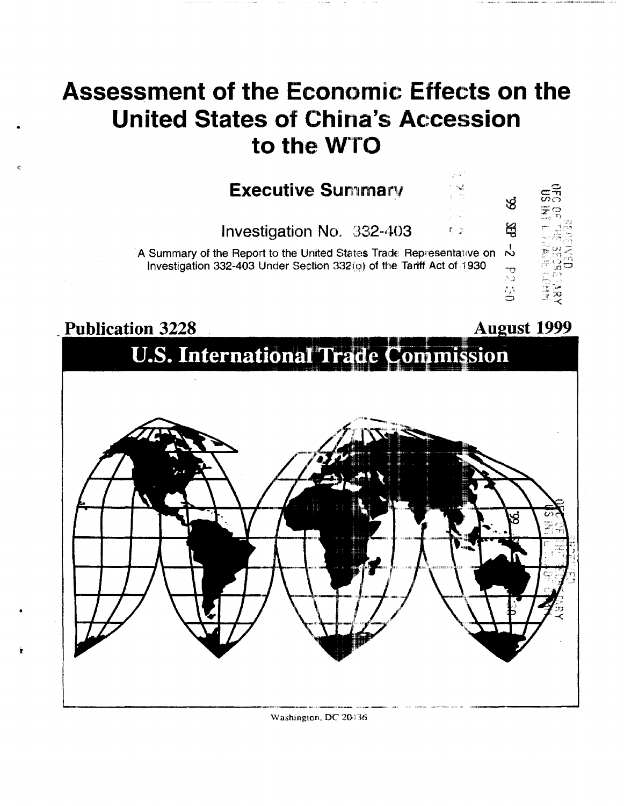## **Assessment of the Economic Effects on the United States of China's Accession** to the WTO

## **Executive Summary**

Investigation No. 332-403

A Summary of the Report to the United States Trade Representative on  $\overrightarrow{N}$ Investigation 332-403 Under Section 332(q) of the Tariff Act of 1930



 $L \rightarrow$ 



Washington, DC 20436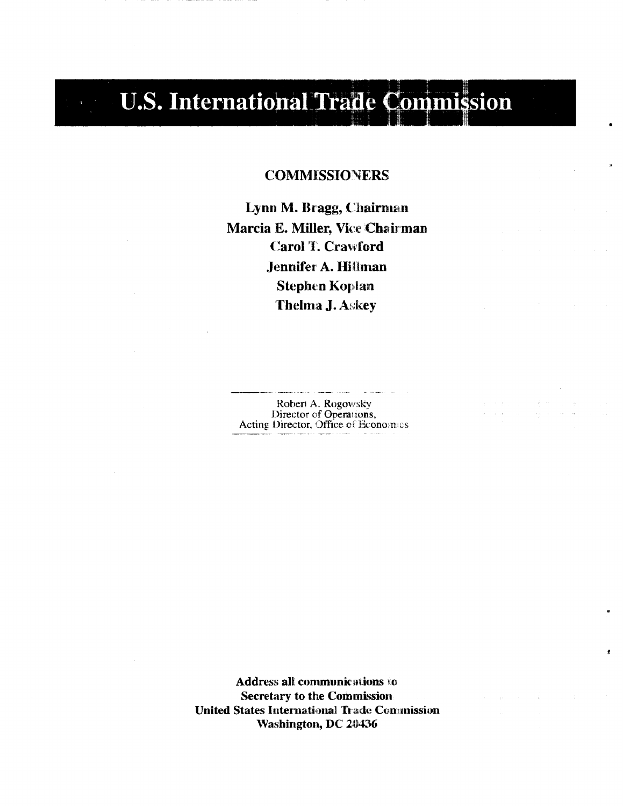# **U.S. International Trade Commission**

### **COMMISSIONERS**

Lynn M. Bragg, Chairman Marcia E. Miller, Vice Chairman **Carol T. Crawford** Jennifer A. Hillman **Stephen Koplan Thelma J. Askey** 

Robert A. Rogowsky<br>Director of Operations,<br>Acting Director, Office of Economics

Address all communications to **Secretary to the Commission United States International Trade Commission** Washington, DC 20436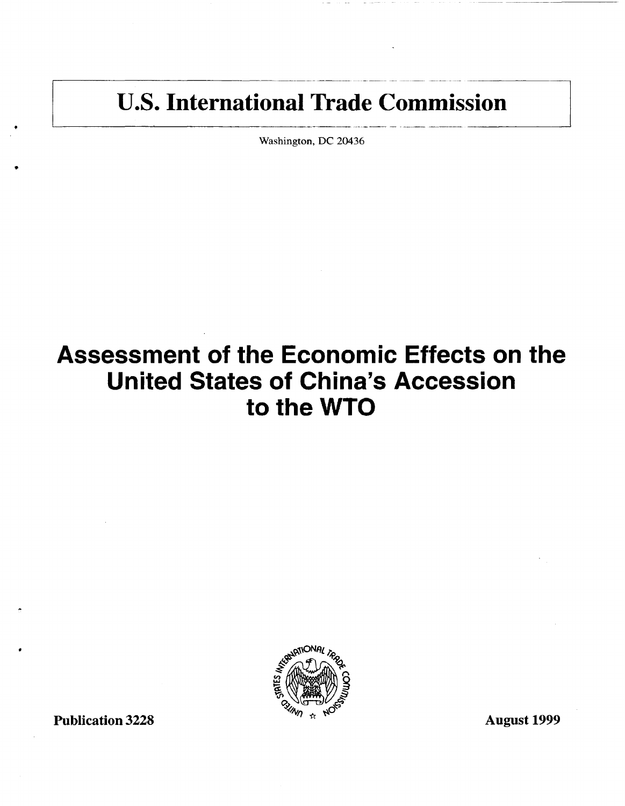# U.S. International Trade Commission

Washington, DC 20436

# Assessment of the Economic Effects on the United States of China's Accession to the WTO



Publication 3228 August 1999

•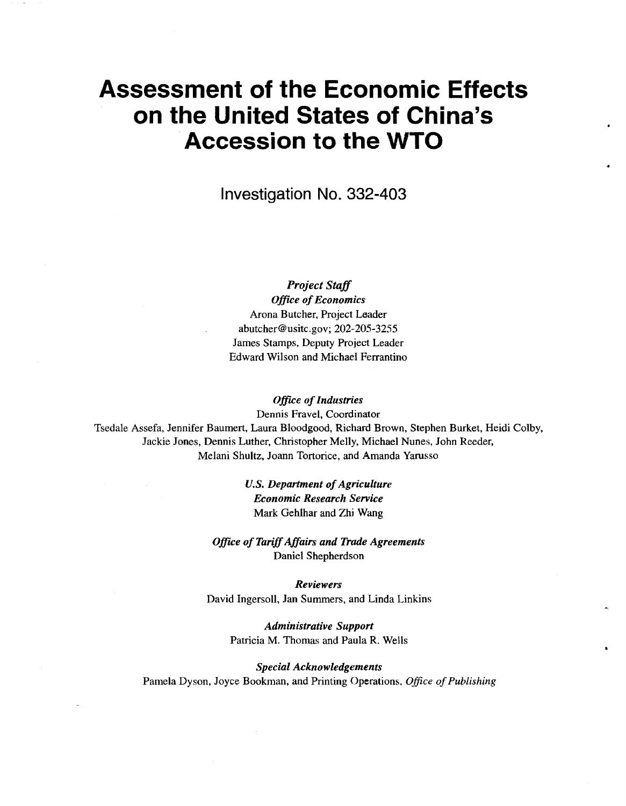## **Assessment of the Economic Effects on the United States of China's Accession to the WTO**

**Investigation No. 332-403** 

*Project Staff* 

*Office of Economics*  Arona Butcher, Project Leader abutcher@usitc.gov; 202-205-3255 James Stamps, Deputy Project Leader Edward Wilson and Michael Ferrantino

*Office of Industries* 

Dennis Fravel, Coordinator Tsedale Assefa, Jennifer Baumert, Laura Bloodgood, Richard Brown, Stephen Burket, Heidi Colby, Jackie Jones, Dennis Luther, Christopher Melly, Michael Nunes, John Reeder, Melani Shultz, Joann Tortorice, and Amanda Yarusso

> *U.S. Department of Agriculture Economic Research Service*  Mark Gehlhar and Zhi Wang

*Office of Tariff Affairs and 1'rade Agreements*  Daniel Shepherdson

*Reviewers*  David Ingersoll, Jan Summers, and Linda Linkins

> *Administrative Support*  Patricia M. Thomas and Paula R. Wells

*Special Acknowledgements*  Pamela Dyson, Joyce Bookman, and Printing Operations, *Office of Publishing*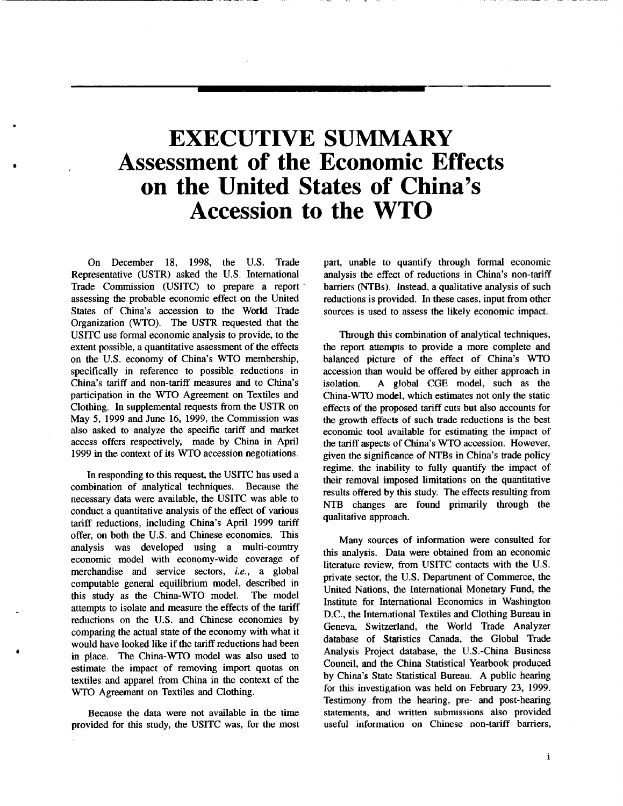## **EXECUTIVE SUMMARY Assessment of the Economic Effects on the United States of China's Accession to the WTO**

On December 18, 1998, the U.S. Trade Representative (USTR) asked the U.S. International Trade Commission (USITC) to prepare a report · assessing the probable economic effect on the United States of China's accession to the World Trade Organization (WTO). The USTR requested that the USITC use formal economic analysis to provide, to the extent possible, a quantitative assessment of the effects on the U.S. economy of China's WTO membership, specifically in reference to possible reductions in China's tariff and non-tariff measures and to China's participation in the WTO Agreement on Textiles and Clothing. In supplemental requests from the USTR on May 5, 1999 and June 16, 1999, the Commission was also asked to analyze the specific tariff and market access offers respectively, made by China in April 1999 in the context of its WTO accession negotiations.

•

f

In responding to this request, the USITC has used a combination of analytical techniques. Because the necessary data were available, the USITC was able to conduct a quantitative analysis of the effect of various tariff reductions, including China's April 1999 tariff offer, on both the U.S. and Chinese economies. This analysis was developed using a multi-country economic model with economy-wide coverage of merchandise and service sectors, *i.e.,* a global computable general equilibrium model, described in this study as the China-WTO model. The model attempts to isolate and measure the effects of the tariff reductions on the U.S. and Chinese economies by comparing the actual state of the economy with what it would have looked like if the tariff reductions had been in place. The China-WTO model was also used to estimate the impact of removing import quotas on textiles and apparel from China in the context of the WTO Agreement on Textiles and Clothing.

Because the data were not available in the time provided for this study, the USITC was, for the most

part, unable to quantify through formal economic analysis the effect of reductions in China's non-tariff barriers (NTBs). Instead. a qualitative analysis of such reductions is provided. In these cases, input from other sources is used to assess the likely economic impact.

Through this combination of analytical techniques, the report attempts to provide a more complete and balanced picture of the effect of China's WTO accession than would be offered by either approach in isolation. A global CGE model, such as the China-WTO model, which estimates not only the static effects of the proposed tariff cuts but also accounts for the growth effects of such trade reductions is the best economic tool available for estimating the impact of the tariff aspects of China's WTO accession. However, given the significance of NTBs in China's trade policy regime. the inability to fully quantify the impact of their removal imposed limitations on the quantitative results offered by this study. The effects resulting from NTB changes are found primarily through the qualitative approach.

Many sources of information were consulted for this analysis. Data were obtained from an economic literature review, from USITC contacts with the U.S. private sector, the U.S. Department of Commerce, the United Nations, the International Monetary Fund, the Institute for International Economics in Washington D.C., the International Textiles and Clothing Bureau in Geneva, Switzerland, the World Trade Analyzer database of Statistics Canada, the Global Trade Analysis Project database, the U.S.-China Business Council, and the China Statistical Yearbook produced by China's State Statistical Bureau. A public hearing for this investigation was held on February 23, 1999. Testimony from the hearing, pre- and post-hearing statements, and written submissions also provided useful information on Chinese non-tariff barriers,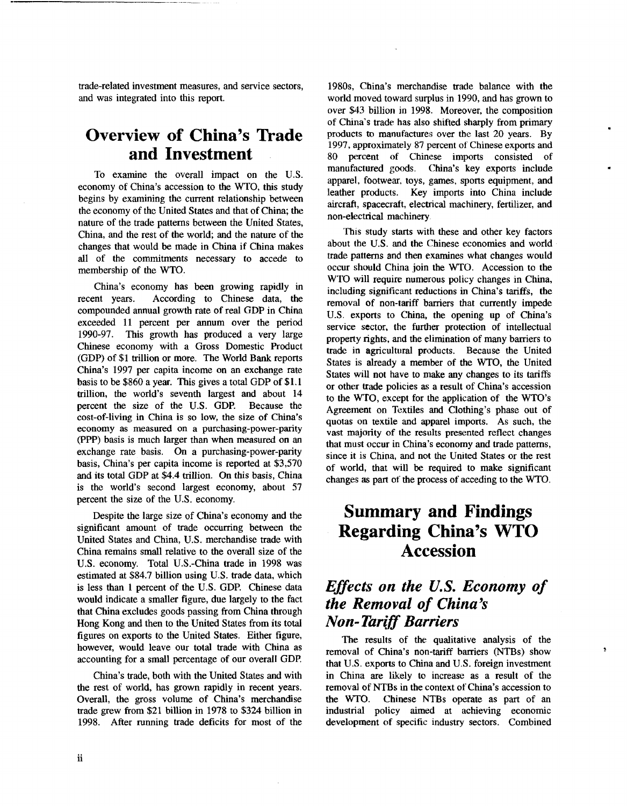trade-related investment measures, and service sectors, and was integrated into this report.

## **Overview of China's Trade and Investment**

To examine the overall impact on the U.S. economy of China's accession to the WTO, this study begins by examining the current relationship between the economy of the United States and that of China; the nature of the trade patterns between the United States, China, and the rest of the world; and the nature of the changes that would be made in China if China makes all of the commitments necessary to accede to membership of the WTO.

China's economy has been growing rapidly in recent years. According to Chinese data, the compounded annual growth rate of real GDP in China exceeded 11 percent per annum over the period 1990-97. This growth has produced a very large Chinese economy with a Gross Domestic Product (GDP) of \$1 trillion or more. The World Bank reports China's 1997 per capita income on an exchange rate basis to be \$860 a year. This gives a total GDP of \$1. l trillion, the world's seventh largest and about 14 percent the size of the U.S. GDP. Because the cost-of-living in China is so low, the size of China's economy as measured on a purchasing-power-parity (PPP) basis is much larger than when measured on an exchange rate basis. On a purchasing-power-parity basis, China's per capita income is reported at \$3,570 and its total GDP at \$4.4 trillion. On this basis, China is the world's second largest economy, about 57 percent the size of the U.S. economy.

Despite the large size of China's economy and the significant amount of trade occurring between the United States and China, U.S. merchandise trade with China remains small relative to the overall size of the U.S. economy. Total U.S.-China trade in 1998 was estimated at \$84.7 billion using U.S. trade data, which is less than 1 percent of the U.S. GDP. Chinese data would indicate a smaller figure, due largely to the fact that China excludes goods passing from China through Hong Kong and then to the United States from its total figures on exports to the United States. Either figure, however, would leave our total trade with China as accounting for a small percentage of our overall GDP.

China's trade, both with the United States and with the rest of world, has grown rapidly in recent years. Overall, the gross volume of China's merchandise trade grew from \$21 billion in 1978 to \$324 billion in 1998. After running trade deficits for most of the

1980s, China's merchandise trade balance with the world moved toward surplus in 1990, and has grown to over \$43 billion in 1998. Moreover, the composition of China's trade has also shifted sharply from primary products to manufactures over the last 20 years. By 1997, approximately 87 percent of Chinese exports and 80 percent of Chinese imports consisted of manufactured goods. China's key exports include apparel, footwear. toys, games, sports equipment, and leather products. Key imports into China include aircraft, spacecraft, electrical machinery, fertilizer, and non-electrical machinery

•

Þ

This study starts with these and other key factors about the U.S. and the Chinese economies and world trade patterns and then examines what changes would occur should China join the WTO. Accession to the WTO will require numerous policy changes in China, including significant reductions in China's tariffs, the removal of non-tariff barriers that currently impede U.S. exports to China, the opening up of China's service sector, the further protection of intellectual property rights, and the elimination of many barriers to trade in agricultural products. Because the United States is already a member of the WTO, the United States will not have to make any changes to its tariffs or other trade policies as a result of China's accession to the WTO, except for the application of the WTO's Agreement on Textiles and Clothing's phase out of quotas on textile and apparel imports. As such, the vast majority of the results presented reflect changes that must occur in China's economy and trade patterns, since it is China, and not the United States or the rest of world, that will be required to make significant changes as part of the process of acceding to the WTO.

## **Summary and Findings Regarding China's WTO Accession**

## *Effects on the U.S. Economy of the Removal of China's Non-Tariff Barriers*

The results of the qualitative analysis of the removal of China's non-tariff barriers (NTBs) show that U.S. exports to China and U.S. foreign investment in China are likely to increase as a result of the removal of NTBs in the context of China's accession to the WTO. Chinese NTBs operate as part of an industrial policy aimed at achieving economic development of specific industry sectors. Combined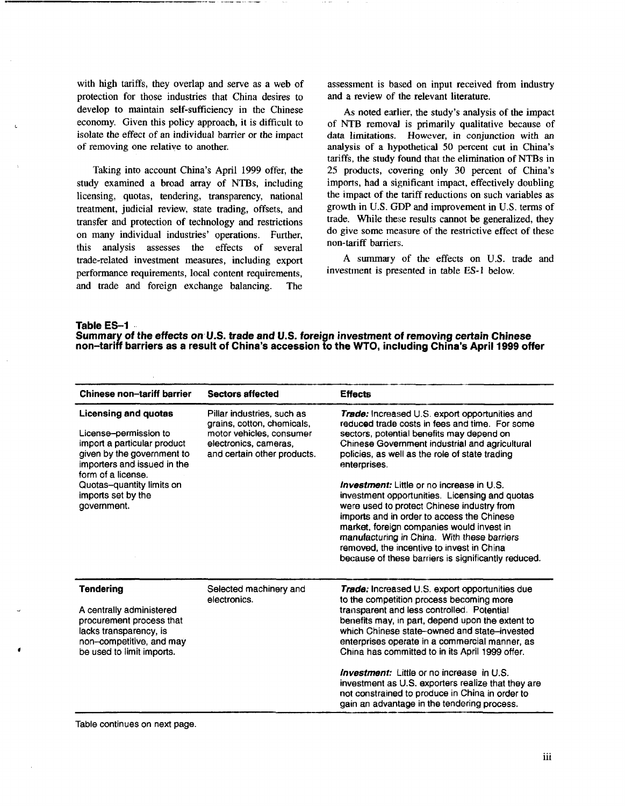with high tariffs, they overlap and serve as a web of protection for those industries that China desires to develop to maintain self-sufficiency in the Chinese economy. Given this policy approach, it is difficult to isolate the effect of an individual barrier or *the* impact of removing one relative to another.

Taking into account China's April 1999 offer, the study examined a broad array of NTBs, including licensing, quotas, tendering, transparency, national treatment, judicial review, state trading, offsets, and transfer and protection of technology and restrictions on many individual industries' operations. Further, this analysis assesses the effects of several trade-related investment measures, including export performance requirements, local content requirements, and trade and foreign exchange balancing. The assessment is based on input received from industry and a review of the relevant literature.

As noted earlier, the study's analysis of the impact of NTB removaJ is primarily qualitative because of data limitations. However, in conjunction with an analysis of a hypothetical 50 percent cut in China's tariffs, the study found that the elimination of NTBs in 25 products, covering only 30 percent of China's imports, had a significant impact, effectively doubling the impact of the tariff reductions on such variables as growth in U.S. GDP and improvement in U.S. terms of trade. While these results cannot be generalized, they do give some measure of the restrictive effect of these non-tariff barriers.

A summary of the effects on U.S. trade and investment is presented in table ES-1 below.

**Table ES-1** 

**Summary of the effects on· U.S. trade and U.S. foreign investment of removing certain Chinese non-tariff barriers as a result of China's accession to the WTO, including China's April 1999 offer** 

| Chinese non-tariff barrier                                                                                                                                                                                                               | <b>Sectors affected</b>                                                                                                                      | <b>Effects</b>                                                                                                                                                                                                                                                                                                                                                                                                                                                                                                                                                                                                                                                             |
|------------------------------------------------------------------------------------------------------------------------------------------------------------------------------------------------------------------------------------------|----------------------------------------------------------------------------------------------------------------------------------------------|----------------------------------------------------------------------------------------------------------------------------------------------------------------------------------------------------------------------------------------------------------------------------------------------------------------------------------------------------------------------------------------------------------------------------------------------------------------------------------------------------------------------------------------------------------------------------------------------------------------------------------------------------------------------------|
| <b>Licensing and quotas</b><br>License-permission to<br>import a particular product<br>given by the government to<br>importers and issued in the<br>form of a license.<br>Quotas-quantity limits on<br>imports set by the<br>government. | Pillar industries, such as<br>grains, cotton, chemicals,<br>motor vehicles, consumer<br>electronics, cameras,<br>and certain other products. | <b>Trade:</b> Increased U.S. export opportunities and<br>reduced trade costs in fees and time. For some<br>sectors, potential benefits may depend on<br>Chinese Government industrial and agricultural<br>policies, as well as the role of state trading<br>enterprises.<br><i>Investment:</i> Little or no increase in U.S.<br>investment opportunities. Licensing and quotas<br>were used to protect Chinese industry from<br>imports and in order to access the Chinese<br>market, foreign companies would invest in<br>manufacturing in China. With these barriers<br>removed, the incentive to invest in China<br>because of these barriers is significantly reduced. |
| <b>Tendering</b><br>A centrally administered<br>procurement process that<br>lacks transparency, is<br>non-competitive, and may<br>be used to limit imports.                                                                              | Selected machinery and<br>electronics.                                                                                                       | <b>Trade:</b> Increased U.S. export opportunities due<br>to the competition process becoming more<br>transparent and less controlled. Potential<br>benefits may, in part, depend upon the extent to<br>which Chinese state-owned and state-invested<br>enterprises operate in a commercial manner, as<br>China has committed to in its April 1999 offer.<br><i>Investment:</i> Little or no increase in U.S.<br>investment as U.S. exporters realize that they are<br>not constrained to produce in China in order to<br>gain an advantage in the tendering process.                                                                                                       |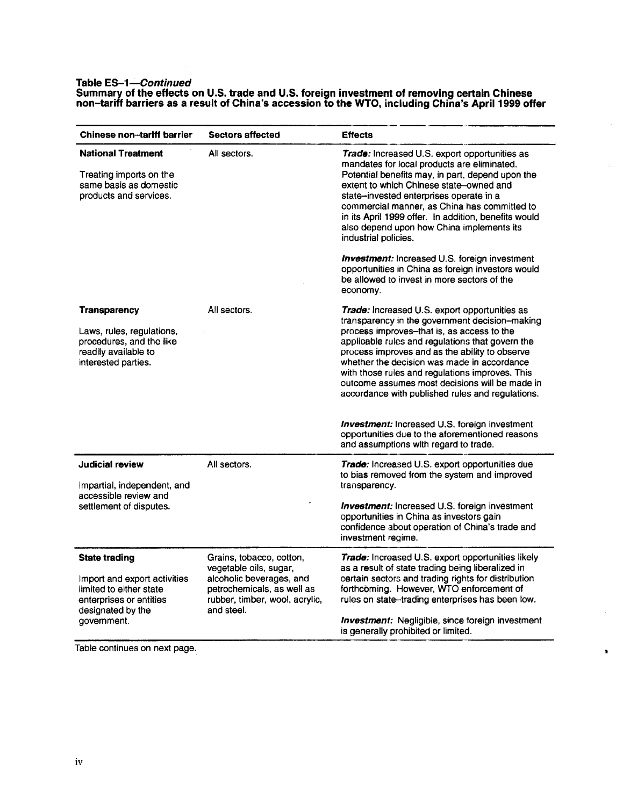### **Table ES-1-Continued Summary of the effects on U.S. trade and U.S. foreign investment of removing certain Chinese**

ś.

 $\mathbf{r}$ 

| <b>Trade:</b> Increased U.S. export opportunities as<br>mandates for local products are eliminated.<br>Potential benefits may, in part, depend upon the<br>extent to which Chinese state owned and<br>state-invested enterprises operate in a<br>commercial manner, as China has committed to<br>in its April 1999 offer. In addition, benefits would<br>also depend upon how China implements its<br>industrial policies.<br><b>Investment:</b> Increased U.S. foreign investment |  |  |
|------------------------------------------------------------------------------------------------------------------------------------------------------------------------------------------------------------------------------------------------------------------------------------------------------------------------------------------------------------------------------------------------------------------------------------------------------------------------------------|--|--|
|                                                                                                                                                                                                                                                                                                                                                                                                                                                                                    |  |  |
| opportunities in China as foreign investors would<br>be allowed to invest in more sectors of the<br>economy.                                                                                                                                                                                                                                                                                                                                                                       |  |  |
| Trade: Increased U.S. export opportunities as<br>transparency in the government decision-making<br>process improves-that is, as access to the<br>applicable rules and regulations that govern the<br>process improves and as the ability to observe<br>whether the decision was made in accordance<br>with those rules and regulations improves. This<br>outcome assumes most decisions will be made in<br>accordance with published rules and regulations.                        |  |  |
| <b>Investment:</b> Increased U.S. foreign investment<br>opportunities due to the aforementioned reasons<br>and assumptions with regard to trade.                                                                                                                                                                                                                                                                                                                                   |  |  |
| Trade: Increased U.S. export opportunities due<br>to bias removed from the system and improved<br>transparency.                                                                                                                                                                                                                                                                                                                                                                    |  |  |
| <b>Investment:</b> Increased U.S. foreign investment<br>opportunities in China as investors gain<br>confidence about operation of China's trade and<br>investment regime.                                                                                                                                                                                                                                                                                                          |  |  |
|                                                                                                                                                                                                                                                                                                                                                                                                                                                                                    |  |  |
| Trade: Increased U.S. export opportunities likely<br>as a result of state trading being liberalized in<br>certain sectors and trading rights for distribution<br>forthcoming. However, WTO enforcement of<br>rules on state-trading enterprises has been low.<br><b>Investment:</b> Negligible, since foreign investment<br>is generally prohibited or limited.                                                                                                                    |  |  |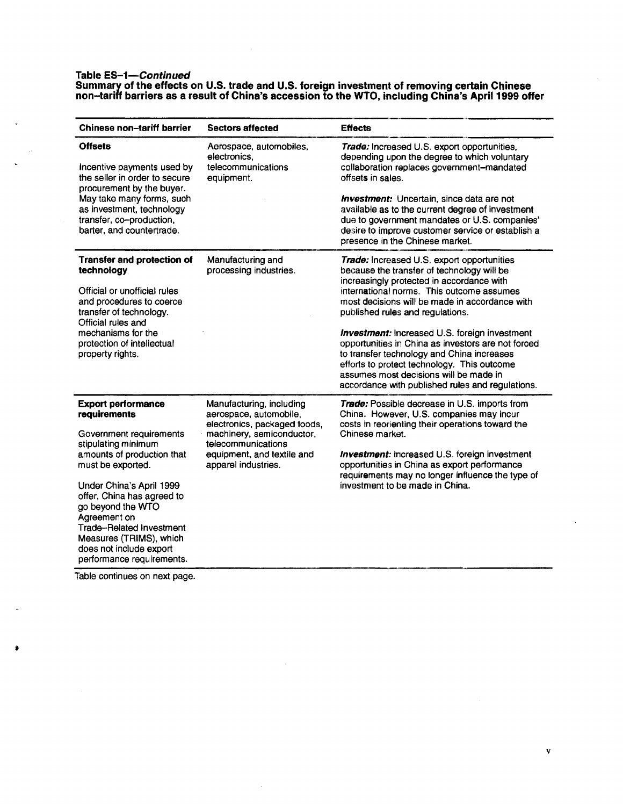#### Table *ES-1-Continued*

Summary of the effects on U.S. trade and U.S. foreign investment of removing certain Chinese non-tariff barriers as a result of China's accession to the WTO, including China's April 1999 offer

| <b>Chinese non-tariff barrier</b><br><b>Sectors affected</b>                                                                                                                                               |                                                                                                      | <b>Effects</b>                                                                                                                                                                                                                                                                                        |  |  |
|------------------------------------------------------------------------------------------------------------------------------------------------------------------------------------------------------------|------------------------------------------------------------------------------------------------------|-------------------------------------------------------------------------------------------------------------------------------------------------------------------------------------------------------------------------------------------------------------------------------------------------------|--|--|
| <b>Offsets</b><br>Incentive payments used by<br>the seller in order to secure<br>procurement by the buyer.                                                                                                 | Aerospace, automobiles,<br>electronics.<br>telecommunications<br>equipment.                          | Trade: Increased U.S. export opportunities,<br>depending upon the degree to which voluntary<br>collaboration replaces government-mandated<br>offsets in sales.                                                                                                                                        |  |  |
| May take many forms, such<br>as investment, technology<br>transfer, co-production,<br>barter, and countertrade.                                                                                            |                                                                                                      | <b>Investment:</b> Uncertain, since data are not<br>available as to the current degree of investment<br>due to government mandates or U.S. companies'<br>desire to improve customer service or establish a<br>presence in the Chinese market.                                                         |  |  |
| Transfer and protection of<br>technology                                                                                                                                                                   | Manufacturing and<br>processing industries.                                                          | Trade: Increased U.S. export opportunities<br>because the transfer of technology will be<br>increasingly protected in accordance with                                                                                                                                                                 |  |  |
| Official or unofficial rules<br>and procedures to coerce<br>transfer of technology.<br>Official rules and                                                                                                  |                                                                                                      | international norms. This outcome assumes<br>most decisions will be made in accordance with<br>published rules and regulations.                                                                                                                                                                       |  |  |
| mechanisms for the<br>protection of intellectual<br>property rights.                                                                                                                                       |                                                                                                      | <b>Investment:</b> Increased U.S. foreign investment<br>opportunities in China as investors are not forced<br>to transfer technology and China increases<br>efforts to protect technology. This outcome<br>assumes most decisions will be made in<br>accordance with published rules and regulations. |  |  |
| <b>Export performance</b><br>requirements                                                                                                                                                                  | Manufacturing, including<br>aerospace, automobile,<br>electronics, packaged foods,                   | <b>Trade:</b> Possible decrease in U.S. imports from<br>China. However, U.S. companies may incur<br>costs in reorienting their operations toward the                                                                                                                                                  |  |  |
| Government requirements<br>stipulating minimum                                                                                                                                                             | machinery, semiconductor,<br>telecommunications<br>equipment, and textile and<br>apparel industries. | Chinese market.                                                                                                                                                                                                                                                                                       |  |  |
| amounts of production that<br>must be exported.                                                                                                                                                            |                                                                                                      | Investment: increased U.S. foreign investment<br>opportunities in China as export performance<br>requirements may no longer influence the type of                                                                                                                                                     |  |  |
| Under China's April 1999<br>offer, China has agreed to<br>go beyond the WTO<br>Agreement on<br>Trade-Related Investment<br>Measures (TRIMS), which<br>does not include export<br>performance requirements. |                                                                                                      | investment to be made in China.                                                                                                                                                                                                                                                                       |  |  |

Table continues on next page.

v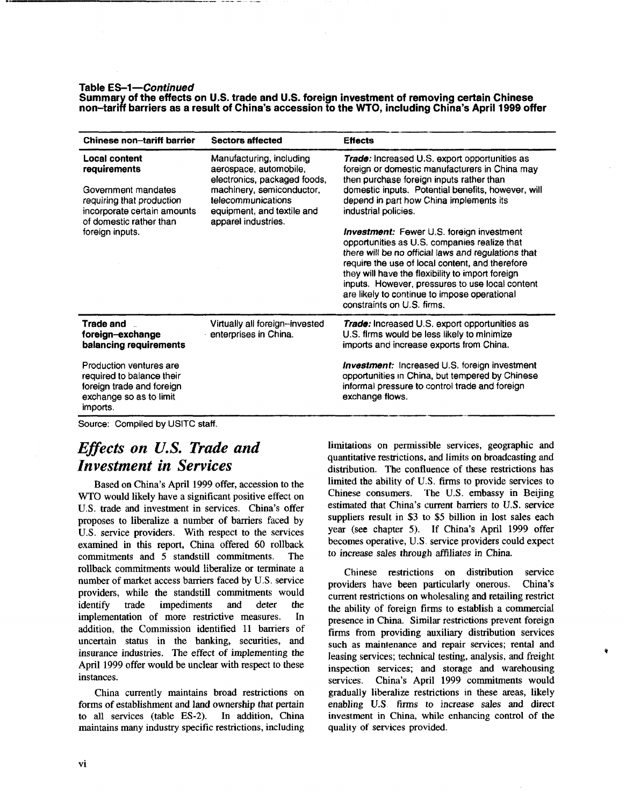#### Table **ES-1-Continued**

**Summary of the effects on U.S. trade and U.S. foreign investment of removing certain Chinese non-tariff barriers as a result of China's accession to the WTO, including China's April 1999 offer** 

| <b>Chinese non-tariff barrier</b>                                                                                                                              | <b>Sectors affected</b>                                                                                                                                                                    | <b>Effects</b>                                                                                                                                                                                                                                                                                                                                                                                                                                                                                                                                                                                                                                                          |  |
|----------------------------------------------------------------------------------------------------------------------------------------------------------------|--------------------------------------------------------------------------------------------------------------------------------------------------------------------------------------------|-------------------------------------------------------------------------------------------------------------------------------------------------------------------------------------------------------------------------------------------------------------------------------------------------------------------------------------------------------------------------------------------------------------------------------------------------------------------------------------------------------------------------------------------------------------------------------------------------------------------------------------------------------------------------|--|
| Local content<br>requirements<br>Government mandates<br>requiring that production<br>incorporate certain amounts<br>of domestic rather than<br>foreign inputs. | Manufacturing, including<br>aerospace, automobile,<br>electronics, packaged foods,<br>machinery, semiconductor,<br>telecommunications<br>equipment, and textile and<br>apparel industries. | Trade: Increased U.S. export opportunities as<br>foreign or domestic manufacturers in China may<br>then purchase foreign inputs rather than<br>domestic inputs. Potential benefits, however, will<br>depend in part how China implements its<br>industrial policies.<br><b>Investment:</b> Fewer U.S. foreign investment<br>opportunities as U.S. companies realize that<br>there will be no official laws and regulations that<br>require the use of local content, and therefore<br>they will have the flexibility to import foreign<br>inputs. However, pressures to use local content<br>are likely to continue to impose operational<br>constraints on U.S. firms. |  |
| Trade and<br>foreign-exchange<br>balancing requirements                                                                                                        | Virtually all foreign-invested<br>enterprises in China.                                                                                                                                    | <b>Trade:</b> Increased U.S. export opportunities as<br>U.S. firms would be less likely to minimize<br>imports and increase exports from China.                                                                                                                                                                                                                                                                                                                                                                                                                                                                                                                         |  |
| Production ventures are<br>required to balance their<br>foreign trade and foreign<br>exchange so as to limit<br>imports.                                       |                                                                                                                                                                                            | <b>Investment:</b> Increased U.S. foreign investment<br>opportunities in China, but tempered by Chinese<br>informal pressure to control trade and foreign<br>exchange flows.                                                                                                                                                                                                                                                                                                                                                                                                                                                                                            |  |

Source: Compiled by USITC staff.

## *Effects on U.S. Trade and Investment in Services*

Based on China's April 1999 offer, accession to the WTO would likely have a significant positive effect on U.S. trade and investment in services. China's offer proposes to liberalize a number of barriers faced by U.S. service providers. With respect to the services examined in this report, China offered 60 rollback commitments and 5 standstill commitments. The rollback commitments would liberalize or terminate a number of market access barriers faced by U.S. service providers, while the standstill commitments would identify trade impediments and deter the implementation of more restrictive measures. ln addition, the Commission identified 11 barriers of uncertain status in the banking, securities, and insurance industries. The effect of implementing the April 1999 offer would be unclear with respect to these instances.

China currently maintains broad restrictions on forms of establishment and land ownership that pertain to all services (table ES-2). In addition, China maintains many industry specific restrictions, including limitations on permissible services, geographic and quantitative restrictions, and limits on broadcasting and distribution. The confluence of these restrictions has limited the ability of U.S. firms to provide services to Chinese consumers. The U.S. embassy in Beijing estimated that China's current barriers to U.S. service suppliers result in \$3 to \$5 billion in lost sales each year (see chapter 5). If China's April 1999 offer becomes operative, U.S. service providers could expect to increase sales through affiliates in China.

Chinese restrictions on distribution service providers have been particularly onerous. China's current restrictions on wholesaling and retailing restrict the ability of foreign firms to establish a commercial presence in China. Similar restrictions prevent foreign firms from providing auxiliary distribution services such as maintenance and repair services; rental and leasing services; technical testing, analysis, and freight inspection services; and storage and warehousing services. China's April 1999 commitments would gradually liberalize restrictions in these areas, likely enabling U.S firms to increase sales and direct investment in China, while enhancing control of the quality of services provided.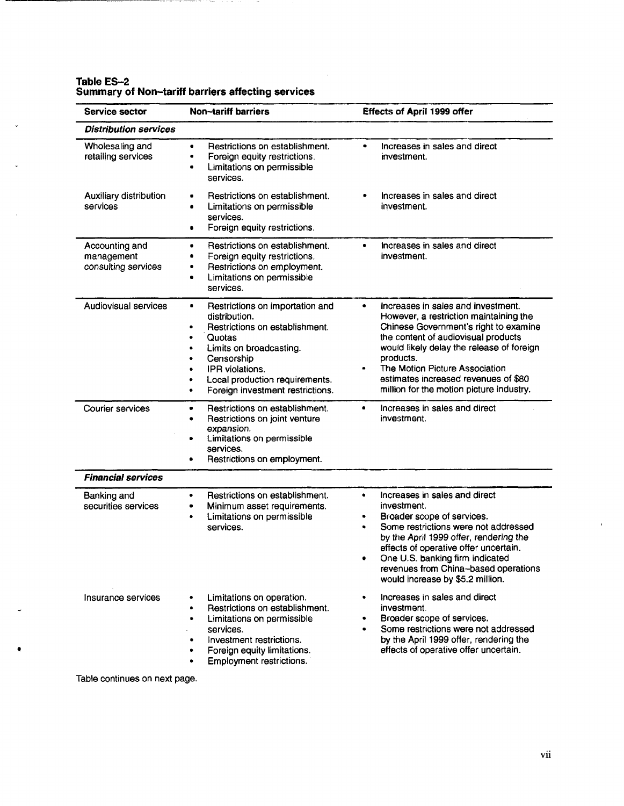| Service sector                                      | <b>Non-tariff barriers</b>                                                                                                                                                                                                                                                             | Effects of April 1999 offer                                                                                                                                                                                                                                                                                                                            |
|-----------------------------------------------------|----------------------------------------------------------------------------------------------------------------------------------------------------------------------------------------------------------------------------------------------------------------------------------------|--------------------------------------------------------------------------------------------------------------------------------------------------------------------------------------------------------------------------------------------------------------------------------------------------------------------------------------------------------|
| <b>Distribution services</b>                        |                                                                                                                                                                                                                                                                                        |                                                                                                                                                                                                                                                                                                                                                        |
| Wholesaling and<br>retailing services               | Restrictions on establishment.<br>$\bullet$<br>Foreign equity restrictions.<br>٠<br>Limitations on permissible<br>٠<br>services.                                                                                                                                                       | Increases in sales and direct<br>۰<br>investment.                                                                                                                                                                                                                                                                                                      |
| Auxiliary distribution<br>services                  | Restrictions on establishment.<br>٠<br>Limitations on permissible<br>٠<br>services.<br>Foreign equity restrictions.<br>٠                                                                                                                                                               | Increases in sales and direct<br>investment.                                                                                                                                                                                                                                                                                                           |
| Accounting and<br>management<br>consulting services | Restrictions on establishment.<br>٠<br>Foreign equity restrictions.<br>۰<br>Restrictions on employment.<br>٠<br>Limitations on permissible<br>٠<br>services.                                                                                                                           | Increases in sales and direct<br>۰<br>investment.                                                                                                                                                                                                                                                                                                      |
| Audiovisual services                                | Restrictions on importation and<br>٠<br>distribution.<br>Restrictions on establishment.<br>$\bullet$<br>Quotas<br>٠<br>Limits on broadcasting.<br>٠<br>Censorship<br>٠<br>IPR violations.<br>٠<br>Local production requirements.<br>٠<br>Foreign investment restrictions.<br>$\bullet$ | Increases in sales and investment.<br>٠<br>However, a restriction maintaining the<br>Chinese Government's right to examine<br>the content of audiovisual products<br>would likely delay the release of foreign<br>products.<br>The Motion Picture Association<br>٠<br>estimates increased revenues of \$80<br>million for the motion picture industry. |
| Courier services                                    | Restrictions on establishment.<br>٠<br>Restrictions on joint venture<br>٠<br>expansion.<br>Limitations on permissible<br>$\bullet$<br>services.<br>Restrictions on employment.                                                                                                         | Increases in sales and direct<br>$\bullet$<br>investment.                                                                                                                                                                                                                                                                                              |
| <b>Financial services</b>                           |                                                                                                                                                                                                                                                                                        |                                                                                                                                                                                                                                                                                                                                                        |
| Banking and<br>securities services                  | Restrictions on establishment.<br>$\bullet$<br>Minimum asset requirements.<br>٠<br>Limitations on permissible<br>٠<br>services.                                                                                                                                                        | Increases in sales and direct<br>۰<br>investment.<br>Broader scope of services.<br>٠<br>Some restrictions were not addressed<br>٠<br>by the April 1999 offer, rendering the<br>effects of operative offer uncertain.<br>One U.S. banking firm indicated<br>٠<br>revenues from China-based operations<br>would increase by \$5.2 million.               |
| Insurance services                                  | Limitations on operation.<br>٠<br>Restrictions on establishment.<br>٠<br>Limitations on permissible<br>٠<br>services.<br>Investment restrictions.<br>٠<br>Foreign equity limitations.<br>Employment restrictions.                                                                      | Increases in sales and direct<br>$\bullet$<br>investment.<br>Broader scope of services.<br>٠<br>Some restrictions were not addressed<br>by the April 1999 offer, rendering the<br>effects of operative offer uncertain.                                                                                                                                |

 $\hat{\mathcal{A}}$ 

#### **Table ES-2 Summary of Non-tariff barriers affecting services**

J.

 $\mathbb{R}^2$ 

L.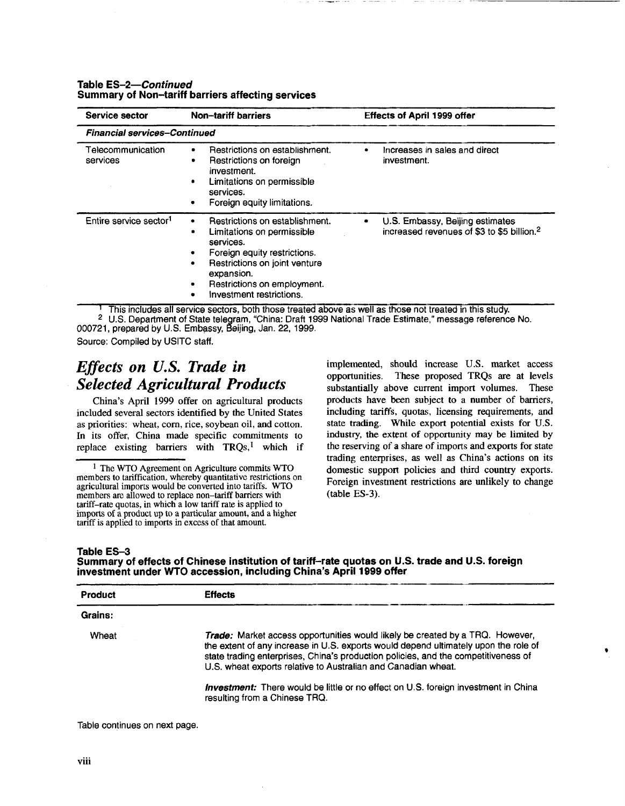| Service sector                      | Non-tariff barriers                                                                                                                                                                                                           | <b>Effects of April 1999 offer</b>                                                             |  |  |
|-------------------------------------|-------------------------------------------------------------------------------------------------------------------------------------------------------------------------------------------------------------------------------|------------------------------------------------------------------------------------------------|--|--|
| <b>Financial services-Continued</b> |                                                                                                                                                                                                                               |                                                                                                |  |  |
| Telecommunication<br>services       | Restrictions on establishment.<br>٠<br>Restrictions on foreign<br>٠<br>investment.<br>Limitations on permissible<br>٠<br>services.<br>Foreign equity limitations.                                                             | Increases in sales and direct<br>investment.                                                   |  |  |
| Entire service sector <sup>1</sup>  | Restrictions on establishment.<br>٠<br>Limitations on permissible<br>services.<br>Foreign equity restrictions.<br>Restrictions on joint venture<br>٠<br>expansion.<br>Restrictions on employment.<br>Investment restrictions. | U.S. Embassy, Beijing estimates<br>٠<br>increased revenues of \$3 to \$5 billion. <sup>2</sup> |  |  |

#### **Table** *ES-2-Continued*  **Summary of Non-tariff barriers affecting services**

This includes all service sectors, both those treated above as well as those not treated in this study.

2 U.S. Department of State telegram, "China: Draft 1999 National Trade Estimate," message reference No. 000721, prepared by U.S. Embassy, Beijing, Jan. 22, 1999.

Source: Compiled by USITC staff.

### *Effects on U.S. Trade in Selected Agricultural Products*

China's April 1999 offer on agricultural products included several sectors identified by the United States as priorities: wheat, com, rice, soybean oil, and cotton. In its offer, China made specific commitments to replace existing barriers with  $TRQs$ ,<sup>1</sup> which if implemented, should increase U.S. market access opportunities. These proposed TRQs are at levels substantially above current import volumes. These products have been subject to a number of barriers, including tariffs, quotas, licensing requirements, and state trading. While export potential exists for U.S. industry, the extent of opportunity may be limited by the reserving of a share of imports and exports for state trading enterprises, as well as China's actions on its domestic support policies and third country exports. Foreign investment restrictions are unlikely to change (table ES-3).

•

#### **Table E\$-3**

**Summary of effects of Chinese institution of tariff-rate quotas on U.S. trade and U.S. foreign investment under WTO accession, including China's April 1999 offer** 

| Product | <b>Effects</b>                                                                                                                                                                                                                                                                                                                     |
|---------|------------------------------------------------------------------------------------------------------------------------------------------------------------------------------------------------------------------------------------------------------------------------------------------------------------------------------------|
| Grains: |                                                                                                                                                                                                                                                                                                                                    |
| Wheat   | <b>Trade:</b> Market access opportunities would likely be created by a TRQ. However,<br>the extent of any increase in U.S. exports would depend ultimately upon the role of<br>state trading enterprises, China's production policies, and the competitiveness of<br>U.S. wheat exports relative to Australian and Canadian wheat. |
|         | <b>Investment:</b> There would be little or no effect on U.S. foreign investment in China<br>resulting from a Chinese TRQ.                                                                                                                                                                                                         |

<sup>&</sup>lt;sup>1</sup> The WTO Agreement on Agriculture commits WTO members to tariffication, whereby quantitative restrictions on agricultural imports would be converted into tariffs. WTO members are allowed to replace non-tariff barriers with tariff-rate quotas, in which a low tariff rate is applied to imports of a product up to a particular amount, and a higher tariff is applied to imports in excess of that amount.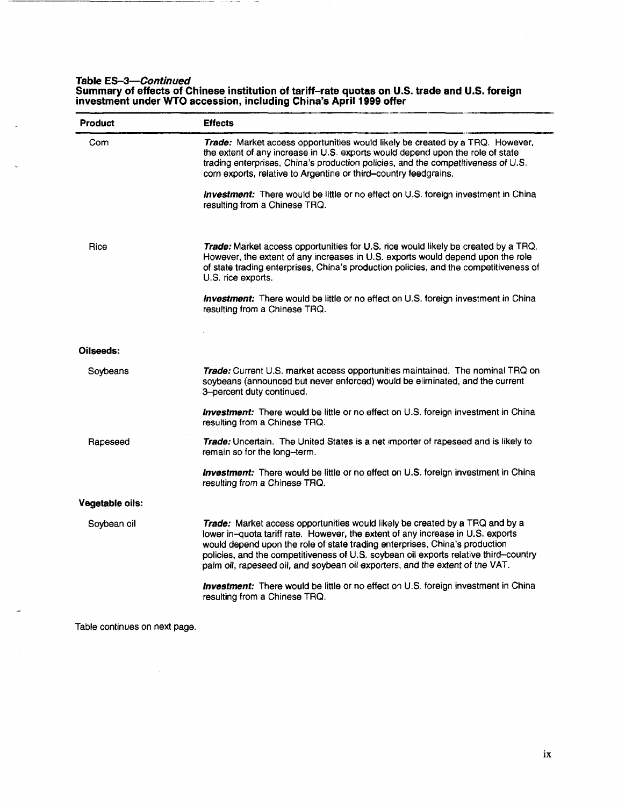#### **Table** *ES-3-Continued*

 $\mathbf{r}$ 

 $-1.1$ 

**Committee** 

**Summary of effects of Chinese institution of tariff-rate quotas on U.S. trade and U.S. foreign investment under WTO accession, including China's April 1999 offer** 

| Product         | <b>Effects</b>                                                                                                                                                                                                                                                                                                                                                                                                                                                                                                |  |  |
|-----------------|---------------------------------------------------------------------------------------------------------------------------------------------------------------------------------------------------------------------------------------------------------------------------------------------------------------------------------------------------------------------------------------------------------------------------------------------------------------------------------------------------------------|--|--|
| Corn            | Trade: Market access opportunities would likely be created by a TRQ. However,<br>the extent of any increase in U.S. exports would depend upon the role of state<br>trading enterprises, China's production policies, and the competitiveness of U.S.<br>corn exports, relative to Argentine or third-country feedgrains.                                                                                                                                                                                      |  |  |
|                 | Investment: There would be little or no effect on U.S. foreign investment in China<br>resulting from a Chinese TRQ.                                                                                                                                                                                                                                                                                                                                                                                           |  |  |
| Rice            | Trade: Market access opportunities for U.S. rice would likely be created by a TRQ.<br>However, the extent of any increases in U.S. exports would depend upon the role<br>of state trading enterprises, China's production policies, and the competitiveness of<br>U.S. rice exports.                                                                                                                                                                                                                          |  |  |
|                 | <b>Investment:</b> There would be little or no effect on U.S. foreign investment in China<br>resulting from a Chinese TRQ.                                                                                                                                                                                                                                                                                                                                                                                    |  |  |
|                 |                                                                                                                                                                                                                                                                                                                                                                                                                                                                                                               |  |  |
| Oilseeds:       |                                                                                                                                                                                                                                                                                                                                                                                                                                                                                                               |  |  |
| Soybeans        | Trade: Current U.S. market access opportunities maintained. The nominal TRQ on<br>soybeans (announced but never enforced) would be eliminated, and the current<br>3-percent duty continued.                                                                                                                                                                                                                                                                                                                   |  |  |
|                 | <b>Investment:</b> There would be little or no effect on U.S. foreign investment in China<br>resulting from a Chinese TRQ.                                                                                                                                                                                                                                                                                                                                                                                    |  |  |
| Rapeseed        | Trade: Uncertain. The United States is a net importer of rapeseed and is likely to<br>remain so for the long-term.                                                                                                                                                                                                                                                                                                                                                                                            |  |  |
|                 | <b>Investment:</b> There would be little or no effect on U.S. foreign investment in China<br>resulting from a Chinese TRQ.                                                                                                                                                                                                                                                                                                                                                                                    |  |  |
| Vegetable oils: |                                                                                                                                                                                                                                                                                                                                                                                                                                                                                                               |  |  |
| Soybean oil     | Trade: Market access opportunities would likely be created by a TRQ and by a<br>lower in-quota tariff rate. However, the extent of any increase in U.S. exports<br>would depend upon the role of state trading enterprises, China's production<br>policies, and the competitiveness of U.S. soybean oil exports relative third-country<br>palm oil, rapeseed oil, and soybean oil exporters, and the extent of the VAT.<br>Investment: There would be little or no effect on U.S. foreign investment in China |  |  |
|                 | resulting from a Chinese TRQ.                                                                                                                                                                                                                                                                                                                                                                                                                                                                                 |  |  |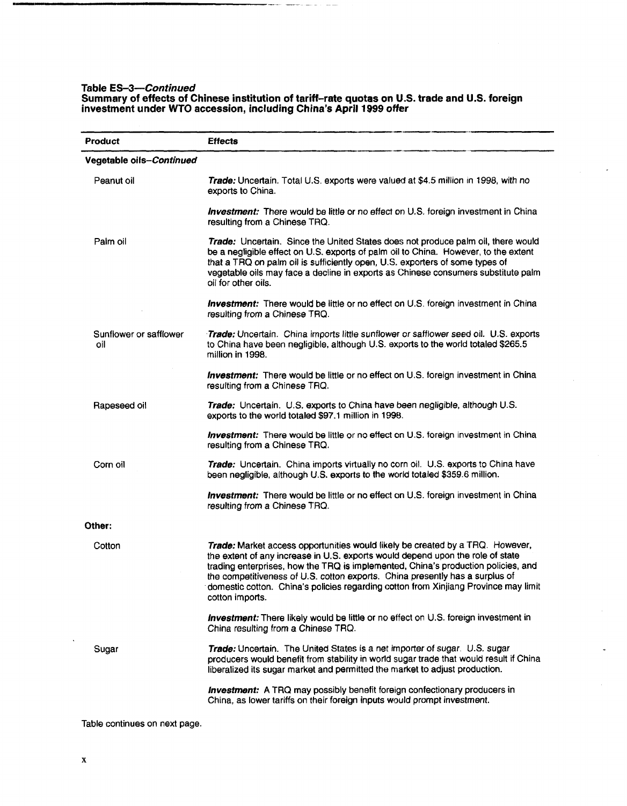#### **Table** *ES-3-Continued*

#### **Summary of effects of Chinese institution of tariff-rate quotas on U.S. trade and U.S. foreign investment under WTO accession, including China's April 1999 offer**

| Product                       | <b>Effects</b>                                                                                                                                                                                                                                                                                                                                                                                                                                 |  |  |  |
|-------------------------------|------------------------------------------------------------------------------------------------------------------------------------------------------------------------------------------------------------------------------------------------------------------------------------------------------------------------------------------------------------------------------------------------------------------------------------------------|--|--|--|
| Vegetable oils-Continued      |                                                                                                                                                                                                                                                                                                                                                                                                                                                |  |  |  |
| Peanut oil                    | Trade: Uncertain. Total U.S. exports were valued at \$4.5 million in 1998, with no<br>exports to China.                                                                                                                                                                                                                                                                                                                                        |  |  |  |
|                               | <b>Investment:</b> There would be little or no effect on U.S. foreign investment in China<br>resulting from a Chinese TRQ.                                                                                                                                                                                                                                                                                                                     |  |  |  |
| Palm oil                      | Trade: Uncertain. Since the United States does not produce palm oil, there would<br>be a negligible effect on U.S. exports of palm oil to China. However, to the extent<br>that a TRQ on palm oil is sufficiently open, U.S. exporters of some types of<br>vegetable oils may face a decline in exports as Chinese consumers substitute palm<br>oil for other oils.                                                                            |  |  |  |
|                               | <b>Investment:</b> There would be little or no effect on U.S. foreign investment in China<br>resulting from a Chinese TRQ.                                                                                                                                                                                                                                                                                                                     |  |  |  |
| Sunflower or safflower<br>oil | Trade: Uncertain. China imports little sunflower or safflower seed oil. U.S. exports<br>to China have been negligible, although U.S. exports to the world totaled \$265.5<br>million in 1998.                                                                                                                                                                                                                                                  |  |  |  |
|                               | Investment: There would be little or no effect on U.S. foreign investment in China<br>resulting from a Chinese TRQ.                                                                                                                                                                                                                                                                                                                            |  |  |  |
| Rapeseed oil                  | Trade: Uncertain. U.S. exports to China have been negligible, although U.S.<br>exports to the world totaled \$97.1 million in 1998.                                                                                                                                                                                                                                                                                                            |  |  |  |
|                               | <b>Investment:</b> There would be little or no effect on U.S. foreign investment in China<br>resulting from a Chinese TRQ.                                                                                                                                                                                                                                                                                                                     |  |  |  |
| Corn oil                      | Trade: Uncertain. China imports virtually no corn oil. U.S. exports to China have<br>been negligible, although U.S. exports to the world totaled \$359.6 million.                                                                                                                                                                                                                                                                              |  |  |  |
|                               | <b>Investment:</b> There would be little or no effect on U.S. foreign investment in China<br>resulting from a Chinese TRQ.                                                                                                                                                                                                                                                                                                                     |  |  |  |
| Other:                        |                                                                                                                                                                                                                                                                                                                                                                                                                                                |  |  |  |
| Cotton                        | Trade: Market access opportunities would likely be created by a TRQ. However,<br>the extent of any increase in U.S. exports would depend upon the role of state<br>trading enterprises, how the TRQ is implemented, China's production policies, and<br>the competitiveness of U.S. cotton exports. China presently has a surplus of<br>domestic cotton. China's policies regarding cotton from Xinjiang Province may limit<br>cotton imports. |  |  |  |
|                               | Investment: There likely would be little or no effect on U.S. foreign investment in<br>China resulting from a Chinese TRQ.                                                                                                                                                                                                                                                                                                                     |  |  |  |
| Sugar                         | Trade: Uncertain. The United States is a net importer of sugar U.S. sugar<br>producers would benefit from stability in world sugar trade that would result if China<br>liberalized its sugar market and permitted the market to adjust production.                                                                                                                                                                                             |  |  |  |
|                               | <b>Investment:</b> A TRQ may possibly benefit foreign confectionary producers in<br>China, as lower tariffs on their foreign inputs would prompt investment.                                                                                                                                                                                                                                                                                   |  |  |  |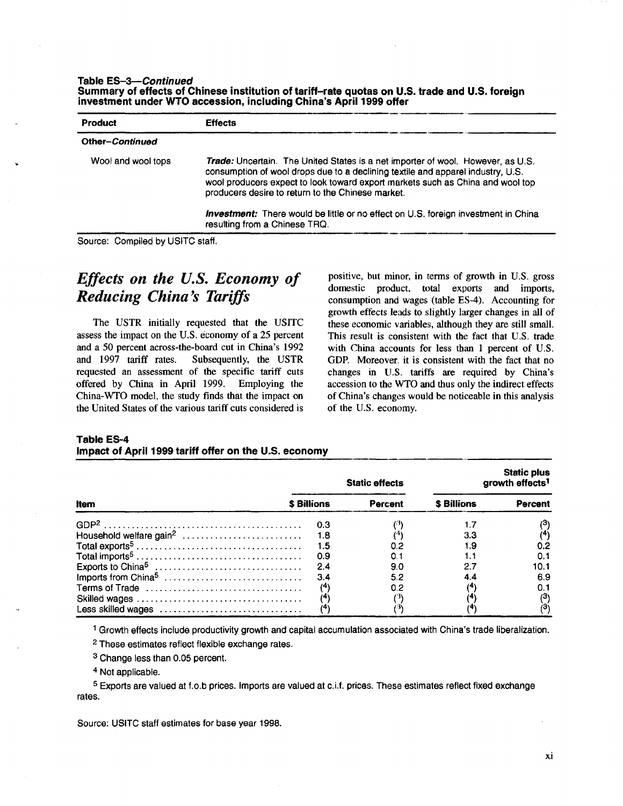| Table ES-3-Continued                                               |                                                                                                |
|--------------------------------------------------------------------|------------------------------------------------------------------------------------------------|
|                                                                    | Summary of effects of Chinese institution of tariff-rate quotas on U.S. trade and U.S. foreign |
| investment under WTO accession, including China's April 1999 offer |                                                                                                |

| <b>Product</b>     | <b>Effects</b>                                                                                                                                                                                                                                                                                                   |
|--------------------|------------------------------------------------------------------------------------------------------------------------------------------------------------------------------------------------------------------------------------------------------------------------------------------------------------------|
| Other-Continued    |                                                                                                                                                                                                                                                                                                                  |
| Wool and wool tops | <b>Trade:</b> Uncertain. The United States is a net importer of wool. However, as U.S.<br>consumption of wool drops due to a declining textile and apparel industry, U.S.<br>wool producers expect to look toward export markets such as China and wool top<br>producers desire to return to the Chinese market. |
|                    | <b>Investment:</b> There would be little or no effect on U.S. foreign investment in China<br>resulting from a Chinese TRQ.                                                                                                                                                                                       |

Source: Compiled by USITC staff.

## *Effects on the U.S. Economy of Reducing China's Tariffs*

The USTR initially requested that the USITC assess the impact on the U.S. economy of a 25 percent and a 50 percent across-the-board cut in China's 1992 and 1997 tariff rates. Subsequently, the USTR requested an assessment of the specific tariff cuts offered by China in April 1999. Employing the China-WTO model, the study finds that the impact on the United States of the various tariff cuts considered is

positive, but minor, in terms of growth in U.S. gross domestic product, total exports and imports, consumption and wages (table ES-4). Accounting for growth effects leads to slightly larger changes in all of these economic variables, although they are still small. This result is consistent with the fact that U.S. trade with China accounts for less than 1 percent of U.S. GDP. Moreover. it is consistent with the fact that no changes in U.S. tariffs are required by China's accession to the WTO and thus only the indirect effects of China's changes would be noticeable in this analysis of the U.S. economy.

#### **Table ES-4 Impact of April 1999 tariff offer on the U.S. economy**

|                                 | growth effects <sup>1</sup><br><b>Static effects</b> |         |                   | <b>Static plus</b>    |
|---------------------------------|------------------------------------------------------|---------|-------------------|-----------------------|
| Item                            | <b>\$ Billions</b>                                   | Percent | <b>S</b> Billions | <b>Percent</b>        |
|                                 | - 0.3                                                |         |                   |                       |
|                                 | - 1.8                                                |         | 3.3               |                       |
|                                 | - 1.5                                                | 0.2     | 1.9               | 0.2                   |
|                                 | 0.9                                                  | 0.1     |                   | 0.1                   |
|                                 | 2,4                                                  | 9.0     | 2.7               | 10.1                  |
| Imports from China <sup>5</sup> | 3.4                                                  | 5.2     | 44                | 6.9                   |
| Terms of Trade                  | 74                                                   | 0.2     |                   |                       |
|                                 |                                                      |         |                   | $^{\left( 3\right) }$ |
| Less skilled wages              |                                                      |         |                   |                       |

1 Growth effects include productivity growth and capital accumulation associated with China's trade liberalization.

2 These estimates reflect flexible exchange rates.

3 Change less than 0.05 percent.

4 Not applicable.

s Exports are valued at f.o.b prices. Imports are valued at c.i.f. prices. These estimates reflect fixed exchange rates.

Source: USITC staff estimates for base year 1998.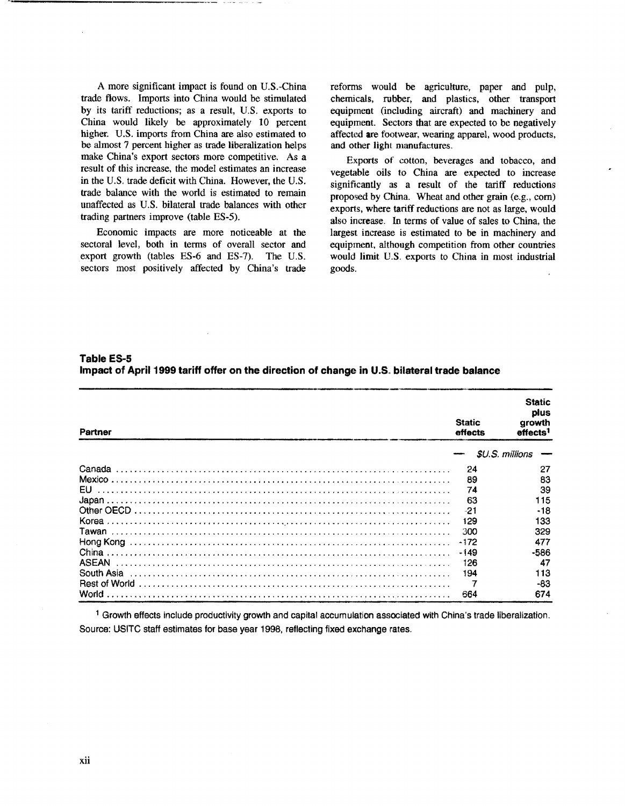A more significant impact is found on U.S.-China trade flows. Imports into China would be stimulated by its tariff reductions; as a result, U.S. exports to China would likely be approximately 10 percent higher. U.S. imports from China are also estimated to be almost 7 percent higher as trade liberalization helps make China's export sectors more competitive. *As* a result of this increase, the model estimates an increase in the U.S. trade deficit with China. However, the U.S. trade balance with the world is estimated to remain unaffected as U.S. bilateral trade balances with other trading partners improve (table ES-5).

Economic impacts are more noticeable at the sectoral level, both in terms of overall sector and export growth (tables ES-6 and ES-7). The U.S. sectors most positively affected by China's trade

reforms would be agriculture, paper and pulp, chemicals, rubber, and plastics, other transport equipment (including aircraft) and machinery and equipment. Sectors that are expected to be negatively affected are footwear, wearing apparel, wood products, and other light manufactures.

Exports of cotton, beverages and tobacco, and vegetable oils to China are expected to increase significantly as a result of the tariff reductions proposed by China. Wheat and other grain (e.g., corn) exports, where tariff reductions are not as large, would also increase. In terms of value of sales to China, the largest increase is estimated to be in machinery and equipment, although competition from other countries would limit U.S. exports to China in most industrial goods.

**Table ES-5 Impact of April 1999 tariff offer on the direction of change in U.S. bilateral trade balance** 

| Partner      | <b>Static</b><br>effects | <b>Static</b><br>plus<br>arowth<br>effects <sup>1</sup> |
|--------------|--------------------------|---------------------------------------------------------|
|              |                          | \$U.S. millions                                         |
| Canada       | 24                       | 27                                                      |
|              | 89                       | 83                                                      |
| EU.          | 74                       | 39                                                      |
|              | 63                       | 115                                                     |
|              | $-21$                    | $-18$                                                   |
|              | 129                      | 133                                                     |
|              | 300                      | 329                                                     |
|              | -172                     | 477                                                     |
| China        | $-149$                   | -586                                                    |
| <b>ASEAN</b> | 126                      | 47                                                      |
| South Asia   | 194                      | 113                                                     |
|              |                          | -83                                                     |
| World        | 664                      | 674                                                     |

1 Growth effects include productivity growth and capital accumulation associated with China's trade liberalization. Source: USITC staff estimates for base year 1998, reflecting fixed exchange rates.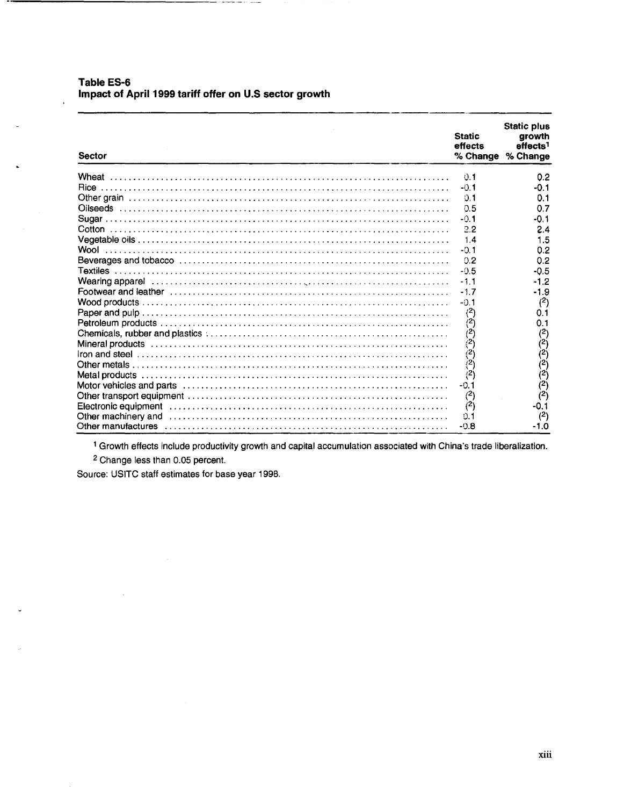Table ES-6 Impact of April 1999 tariff offer on U.S sector growth

| <b>Sector</b>                                                                                                    | <b>Static</b><br>effects<br>% Change | <b>Static plus</b><br>growth<br>effects <sup>1</sup><br>% Change |
|------------------------------------------------------------------------------------------------------------------|--------------------------------------|------------------------------------------------------------------|
| Wheat                                                                                                            | 0.1                                  | 0.2                                                              |
|                                                                                                                  | $-0.1$                               | $-0.1$                                                           |
|                                                                                                                  | 0.1                                  | 0.1                                                              |
|                                                                                                                  | 0.5                                  | 0.7                                                              |
|                                                                                                                  | $-0.1$                               | $-0.1$                                                           |
|                                                                                                                  | 2.2                                  | 2.4                                                              |
|                                                                                                                  | 1.4                                  | 1.5                                                              |
|                                                                                                                  | $-0.1$                               | 0.2                                                              |
| Beverages and tobacco …………………………………………………………………                                                                  | 0.2                                  | 0.2                                                              |
|                                                                                                                  | $-0.5$                               | $-0.5$                                                           |
|                                                                                                                  | $-1.1$                               | -1.2                                                             |
|                                                                                                                  | $-1.7$                               | $-1.9$                                                           |
|                                                                                                                  | $-0.1$                               | (2)                                                              |
|                                                                                                                  | (2)                                  | 0.1                                                              |
|                                                                                                                  | (2)                                  | 0.1                                                              |
|                                                                                                                  | (2)                                  | $(2)$                                                            |
|                                                                                                                  | $\vec{(^2)}$                         |                                                                  |
|                                                                                                                  | $\binom{2}{ }$                       | $\binom{2}{2}$                                                   |
|                                                                                                                  | $\vec{r}$                            |                                                                  |
|                                                                                                                  | (2)                                  | $\binom{2}{2}$                                                   |
| Motor vehicles and parts entertainment contracts of the contracts of the contracts of the contracts of the contr | $-0.1$                               | (2)                                                              |
|                                                                                                                  | (2)                                  | (2)                                                              |
| Electronic equipment (additional contract and contact and contact and contact and contact and contact and conta  | (2)                                  | $-0.1$                                                           |
| Other machinery and                                                                                              | 0.1                                  | (2)                                                              |
|                                                                                                                  | $-0.8$                               | $-1.0$                                                           |

<sup>1</sup> Growth effects include productivity growth and capital accumulation associated with China's trade liberalization.

<sup>2</sup> Change less than 0.05 percent.

 $\overline{a}$ 

Source: USITC staff estimates for base year 1998.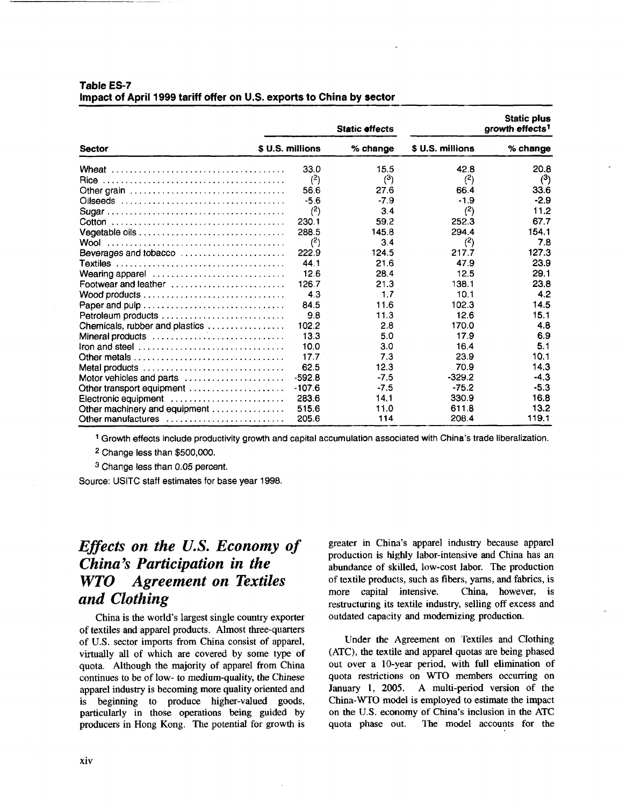|                                                                                         | <b>Static effects</b>  |            | <b>Static plus</b><br>growth effects <sup>1</sup> |            |
|-----------------------------------------------------------------------------------------|------------------------|------------|---------------------------------------------------|------------|
| <b>Sector</b>                                                                           | <b>S U.S. millions</b> | $%$ change | \$ U.S. millions                                  | $%$ change |
|                                                                                         | 33.0                   | 15.5       | 42.8                                              | 20.8       |
|                                                                                         | (2)                    | $^{(3)}$   | (2)                                               | (3)        |
| Other grain $\ldots \ldots \ldots \ldots \ldots \ldots \ldots \ldots \ldots \ldots$     | 56.6                   | 27.6       | 66.4                                              | 33.6       |
|                                                                                         | $-5.6$                 | $-7.9$     | $-1.9$                                            | $-2.9$     |
|                                                                                         | (2)                    | 3.4        | (2)                                               | 11.2       |
|                                                                                         | 230.1                  | 59.2       | 252.3                                             | 67.7       |
|                                                                                         | 288.5                  | 145.8      | 294.4                                             | 154.1      |
|                                                                                         | (2)                    | 3.4        | (2)                                               | 7.8        |
| Beverages and tobacco                                                                   | 222.9                  | 124.5      | 217.7                                             | 127.3      |
|                                                                                         | 44.1                   | 21.6       | 47.9                                              | 23.9       |
| Wearing apparel                                                                         | 12.6                   | 28.4       | 12.5                                              | 29.1       |
| Footwear and leather $\ldots \ldots \ldots \ldots \ldots \ldots$                        | 126.7                  | 21.3       | 138.1                                             | 23.8       |
| Wood products $\ldots \ldots \ldots \ldots \ldots \ldots \ldots \ldots \ldots$          | 4.3                    | 1.7        | 10.1                                              | 4.2        |
| Paper and pulp                                                                          | 84.5                   | 11.6       | 102.3                                             | 14.5       |
| Petroleum products                                                                      | 9.8                    | 11.3       | 12.6                                              | 15.1       |
| Chemicals, rubber and plastics                                                          | 102.2                  | 2.8        | 170.0                                             | 4.8        |
| Mineral products                                                                        | 13.3                   | 5.0        | 17.9                                              | 6.9        |
| Iron and steel $\ldots, \ldots, \ldots, \ldots, \ldots, \ldots, \ldots, \ldots, \ldots$ | 10.0                   | 3.0        | 16.4                                              | 5.1        |
| Other metals $\ldots \ldots \ldots \ldots \ldots \ldots \ldots \ldots \ldots$           | 17.7                   | 7.3        | 23.9                                              | 10.1       |
| Metal products                                                                          | 62.5                   | 12.3       | 70.9                                              | 14.3       |
| Motor vehicles and parts                                                                | $-592.8$               | $-7.5$     | $-329.2$                                          | $-4.3$     |
| Other transport equipment                                                               | $-107.6$               | $-7.5$     | $-75.2$                                           | $-5.3$     |
| Electronic equipment                                                                    | 283.6                  | 14.1       | 330.9                                             | 16.8       |
| Other machinery and equipment                                                           | 515.6                  | 11.0       | 611.8                                             | 13.2       |
| Other manufactures                                                                      | 205.6                  | 114        | 208.4                                             | 119.1      |

#### **Table ES-7 Impact of April 1999 tariff offer on U.S. exports to China by sector**

1 Growth effects include productivity growth and capital accumulation associated with China's trade liberalization.

2 Change less than \$500,000.

3 Change less than 0.05 percent.

Source: USITC staff estimates for base year 1998.

## *Effects on the U.S. Economy of China's Participation in the WTO Agreement on Textiles and Clothing*

China is the world's largest single country exporter of textiles and apparel products. Almost three-quarters of U.S. sector imports from China consist of apparel, virtually all of which are covered by some type of quota. Although the majority of apparel from China continues to be of low- to medium-quality, the Chinese apparel industry is becoming more quality oriented and is beginning to produce higher-valued goods, particularly in those operations being guided by producers in Hong Kong. The potential for growth is greater in China's apparel industry because apparel production is highly labor-intensive and China has an abundance of skilled, low-cost labor. The production of textile products, such as fibers, yarns, and fabrics, is more capital intensive. China, however, is restructuring its textile industry, selling off excess and outdated capacity and modernizing production.

Under the Agreement on Textiles and Clothing (ATC), the textile and apparel quotas are being phased out over a 10-year period, with full elimination of quota restrictions on WTO members occurring on January 1, 2005. A multi-period version of the China-WTO model is employed to estimate the impact on the U.S. economy of China's inclusion in the ATC quota phase out. The model accounts for the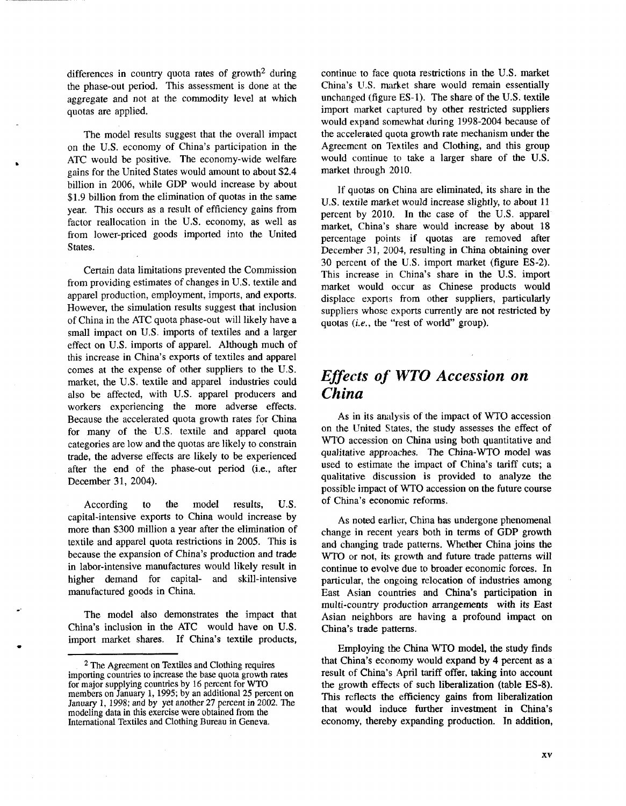differences in country quota rates of growth2 during the phase-out period. This assessment is done at the aggregate and not at the commodity level at which quotas are applied.

The model results suggest that the overall impact on the U.S. economy of China's participation in the ATC would be positive. The economy-wide welfare gains for the United States would amount to about \$2.4 billion in 2006, while GDP would increase by about \$1.9 billion from the elimination of quotas in the same year. This occurs as a result of efficiency gains from factor reallocation in the U.S. economy, as well as from lower-priced goods imported into the United States.

..

•

Certain data limitations prevented the Commission from providing estimates of changes in U.S. textile and apparel production, employment, imports, and exports. However, the simulation results suggest that inclusion of China in the ATC quota phase-out will likely have a small impact on U.S. imports of textiles and a larger effect on U.S. imports of apparel. Although much of this increase in China's exports of textiles and apparel comes at the expense of other suppliers to the U.S. market, the U.S. textile and apparel industries could also be affected, with U.S. apparel producers and workers experiencing the more adverse effects. Because the accelerated quota growth rates for China for many of the U.S. textile and apparel quota categories are low and the quotas are likely to constrain trade, the adverse effects are likely to be experienced after the end of the phase-out period (i.e., after December 31, 2004).

According to the model results, U.S. capital-intensive exports to China would increase by more than \$300 million a year after the elimination of textile and apparel quota restrictions in 2005. This is because the expansion of China's production and trade in labor-intensive manufactures would likely result in higher demand for capital- and skill-intensive manufactured goods in China.

The model also demonstrates the impact that China's inclusion in the ATC would have on U.S. import market shares. If China's textile products, continue to face quota restrictions in the U.S. market China's U.S. market share would remain essentially unchanged (figure ES-1). The share of the U.S. textile import market captured by other restricted suppliers would expand somewhat during 1998-2004 because of the accelerated quota growth rate mechanism under the Agreement on Textiles and Clothing, and this group would continue to take a larger share of the U.S. market through 2010.

If quotas on China are eliminated, its share in the U.S. textile market would increase slightly, to about 11 percent by 2010. In the case of the U.S. apparel market, China's share would increase by about 18 percentage points if quotas are removed after December 31, 2004, resulting in China obtaining over 30 percent of the U.S. import market (figure ES-2). This increase in China's share in the U.S. import market would occur as Chinese products would displace exports from other suppliers, particularly suppliers whose exports currently are not restricted by quotas (i.e., the "rest of world" group).

## *Effects of WTO Accession on China*

As in its analysis of the impact of WTO accession on the United States, the study assesses the effect of WTO accession on China using both quantitative and qualitative approaches. The China-WTO model was used to estimate the impact of China's tariff cuts; a qualitative discussion is provided to analyze the possible impact of WTO accession on the future course of China's economic reforms.

As noted earlier, China has undergone phenomenal change in recent years both in terms of GDP growth and changing trade patterns. Whether China joins the WTO or not, its growth and future trade patterns will continue to evolve due to broader economic forces. In particular, the ongoing relocation of industries among East Asian countries and China's participation in multi-country production arrangements with its East Asian neighbors are having a profound impact on China's trade patterns.

Employing the China WTO model, the study finds that China's economy would expand by 4 percent as a result of China's April tariff offer, taking into account the growth effects of such liberalization (table ES-8). This reflects the efficiency gains from liberalization that would induce further investment in China's economy, thereby expanding production. In addition,

<sup>2</sup> The Agreement on Textiles and Clothing requires importing countries to increase the base quota growth rates for major supplying countries by 16 percent for WTO members on January 1, 1995; by an additional 25 percent on January 1, 1998; and by yet another 27 percent in 2002. The modeling data in this exercise were obtained from the International Textiles and Clothing Bureau in Geneva.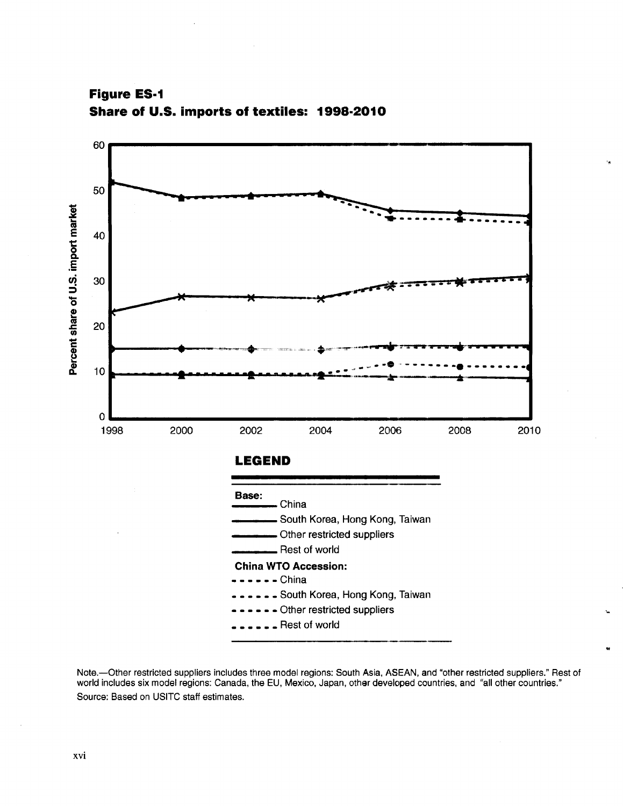60--------------------------------------------------------------. 50 .,.. \_\_\_\_\_\_ \_ Percent share of U.S. import market ---·--- 40 30 ~~-----=tit\* \_\_..t----w------~,\_..-r- -,..- 20  $10$ 0 1998 ..------------------------------------------------------------ 2000 2002 2004 2006 .... 2008 2010 **LEGEND Base:**   $\overline{-}$ China - South Korea, Hong Kong, Taiwan -Other restricted suppliers Rest of world **China WTO Accession:**   $---$  China ••• South Korea, Hong Kong, Taiwan - - Other restricted suppliers **L** Rest of world

'•

..

**Figure ES·1 Share of U.S. imports of textiles: 1998·2010** 

Note.-Other restricted suppliers includes three model regions: South Asia, ASEAN, and "other restricted suppliers." Rest of world includes six model regions: Canada, the EU, Mexico, Japan, other developed countries, and "all other countries." Source: Based on USITC staff estimates.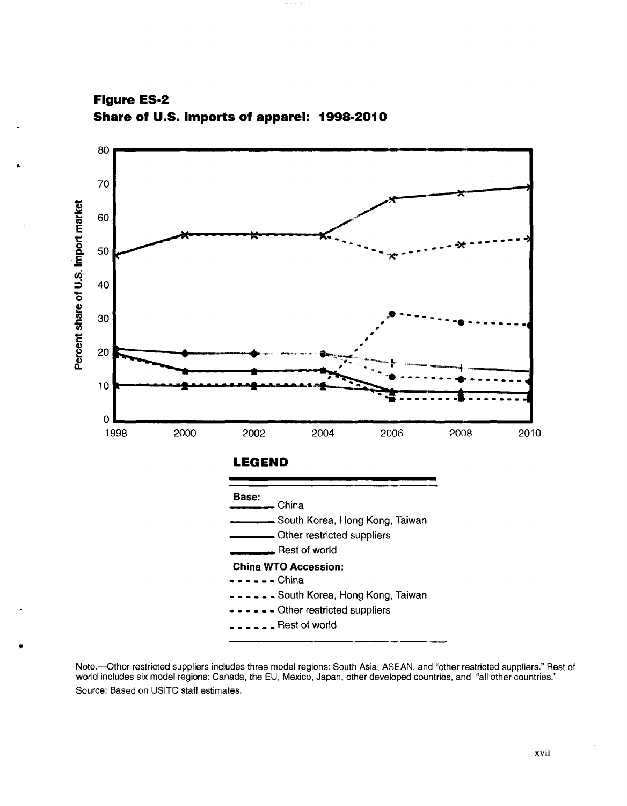



Note.—Other restricted suppliers includes three model regions: South Asia, ASEAN, and "other restricted suppliers." Rest of world includes six model regions: Canada, the EU, Mexico, Japan, other developed countries, and "a Source: Based on USITC staff estimates.